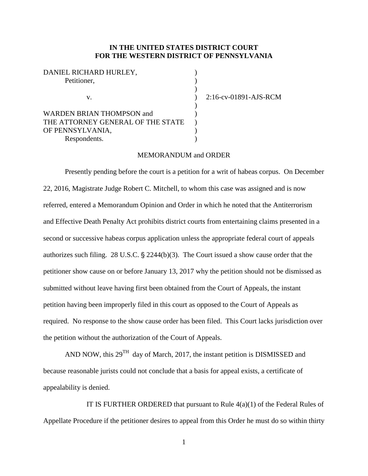## **IN THE UNITED STATES DISTRICT COURT FOR THE WESTERN DISTRICT OF PENNSYLVANIA**

| DANIEL RICHARD HURLEY,            |     |
|-----------------------------------|-----|
| Petitioner,                       |     |
|                                   |     |
| V.                                | 2.1 |
|                                   |     |
| <b>WARDEN BRIAN THOMPSON and</b>  |     |
| THE ATTORNEY GENERAL OF THE STATE |     |
| OF PENNSYLVANIA,                  |     |
| Respondents.                      |     |
|                                   |     |

v. ) 2:16-cv-01891-AJS-RCM

## MEMORANDUM and ORDER

Presently pending before the court is a petition for a writ of habeas corpus. On December 22, 2016, Magistrate Judge Robert C. Mitchell, to whom this case was assigned and is now referred, entered a Memorandum Opinion and Order in which he noted that the Antiterrorism and Effective Death Penalty Act prohibits district courts from entertaining claims presented in a second or successive habeas corpus application unless the appropriate federal court of appeals authorizes such filing. 28 U.S.C.  $\S$  2244(b)(3). The Court issued a show cause order that the petitioner show cause on or before January 13, 2017 why the petition should not be dismissed as submitted without leave having first been obtained from the Court of Appeals, the instant petition having been improperly filed in this court as opposed to the Court of Appeals as required. No response to the show cause order has been filed. This Court lacks jurisdiction over the petition without the authorization of the Court of Appeals.

AND NOW, this  $29^{TH}$  day of March, 2017, the instant petition is DISMISSED and because reasonable jurists could not conclude that a basis for appeal exists, a certificate of appealability is denied.

IT IS FURTHER ORDERED that pursuant to Rule  $4(a)(1)$  of the Federal Rules of Appellate Procedure if the petitioner desires to appeal from this Order he must do so within thirty